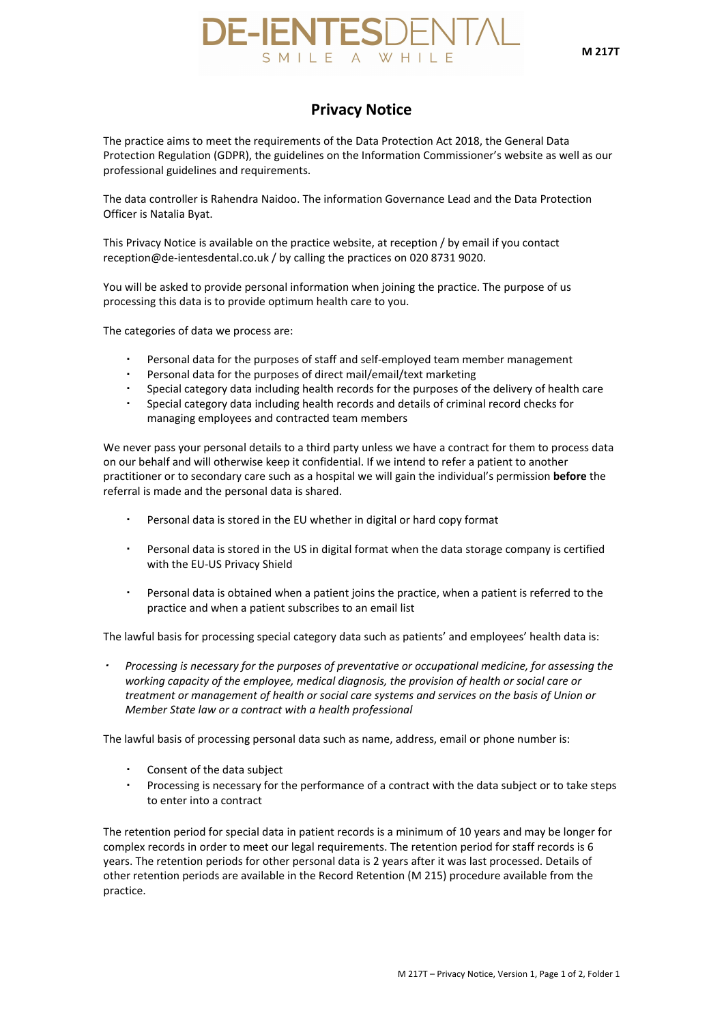## **DE-IENTEST** WHILE

**M 217T**

### **Privacy Notice**

The practice aims to meet the requirements of the Data Protection Act 2018, the General Data Protection Regulation (GDPR), the guidelines on the Information Commissioner's website as well as our professional guidelines and requirements.

The data controller is Rahendra Naidoo. The information Governance Lead and the Data Protection Officer is Natalia Byat.

This Privacy Notice is available on the practice website, at reception / by email if you contact reception@de-ientesdental.co.uk / by calling the practices on 020 8731 9020.

You will be asked to provide personal information when joining the practice. The purpose of us processing this data is to provide optimum health care to you.

The categories of data we process are:

- Personal data for the purposes of staff and self-employed team member management
- Personal data for the purposes of direct mail/email/text marketing
- Special category data including health records for the purposes of the delivery of health care
- Special category data including health records and details of criminal record checks for managing employees and contracted team members

We never pass your personal details to a third party unless we have a contract for them to process data on our behalf and will otherwise keep it confidential. If we intend to refer a patient to another practitioner or to secondary care such as a hospital we will gain the individual's permission **before** the referral is made and the personal data is shared.

- Personal data is stored in the EU whether in digital or hard copy format
- Personal data is stored in the US in digital format when the data storage company is certified with the EU-US Privacy Shield
- Personal data is obtained when a patient joins the practice, when a patient is referred to the practice and when a patient subscribes to an email list

The lawful basis for processing special category data such as patients' and employees' health data is:

 *Processing is necessary for the purposes of preventative or occupational medicine, for assessing the working capacity of the employee, medical diagnosis, the provision of health or social care or treatment or management of health or social care systems and services on the basis of Union or Member State law or a contract with a health professional*

The lawful basis of processing personal data such as name, address, email or phone number is:

- Consent of the data subject
- Processing is necessary for the performance of a contract with the data subject or to take steps to enter into a contract

The retention period for special data in patient records is a minimum of 10 years and may be longer for complex records in order to meet our legal requirements. The retention period for staff records is 6 years. The retention periods for other personal data is 2 years after it was last processed. Details of other retention periods are available in the Record Retention (M 215) procedure available from the practice.